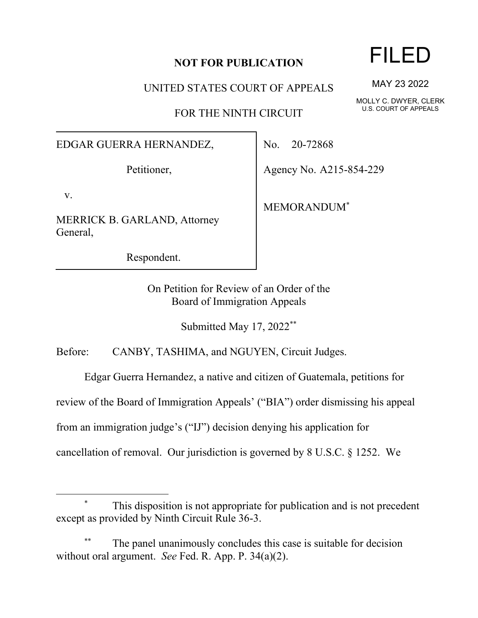#### **NOT FOR PUBLICATION**

UNITED STATES COURT OF APPEALS

FOR THE NINTH CIRCUIT

#### EDGAR GUERRA HERNANDEZ,

Petitioner,

v.

MERRICK B. GARLAND, Attorney General,

Respondent.

No. 20-72868

Agency No. A215-854-229

MEMORANDUM\*

On Petition for Review of an Order of the Board of Immigration Appeals

Submitted May 17, 2022\*\*

Before: CANBY, TASHIMA, and NGUYEN, Circuit Judges.

Edgar Guerra Hernandez, a native and citizen of Guatemala, petitions for

review of the Board of Immigration Appeals' ("BIA") order dismissing his appeal

from an immigration judge's ("IJ") decision denying his application for

cancellation of removal. Our jurisdiction is governed by 8 U.S.C. § 1252. We

### This disposition is not appropriate for publication and is not precedent except as provided by Ninth Circuit Rule 36-3.

The panel unanimously concludes this case is suitable for decision without oral argument. *See* Fed. R. App. P. 34(a)(2).

# FILED

MAY 23 2022

MOLLY C. DWYER, CLERK U.S. COURT OF APPEALS